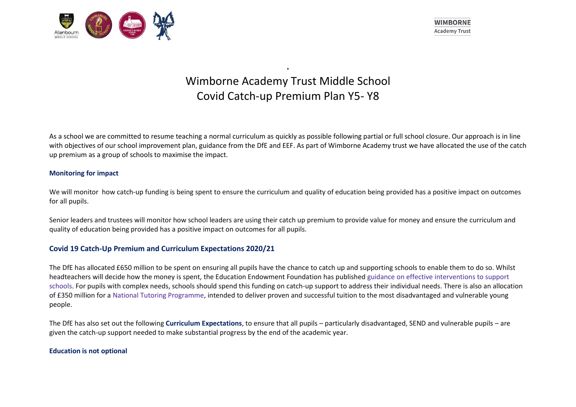

# Wimborne Academy Trust Middle School Covid Catch-up Premium Plan Y5- Y8

.

As a school we are committed to resume teaching a normal curriculum as quickly as possible following partial or full school closure. Our approach is in line with objectives of our school improvement plan, guidance from the DfE and EEF. As part of Wimborne Academy trust we have allocated the use of the catch up premium as a group of schools to maximise the impact.

## **Monitoring for impact**

We will monitor how catch-up funding is being spent to ensure the curriculum and quality of education being provided has a positive impact on outcomes for all pupils.

Senior leaders and trustees will monitor how school leaders are using their catch up premium to provide value for money and ensure the curriculum and quality of education being provided has a positive impact on outcomes for all pupils.

## **Covid 19 Catch-Up Premium and Curriculum Expectations 2020/21**

The DfE has allocated £650 million to be spent on ensuring all pupils have the chance to catch up and supporting schools to enable them to do so. Whilst headteachers will decide how the money is spent, the Education Endowment Foundation has published guidance on effective interventions to support schools. For pupils with complex needs, schools should spend this funding on catch-up support to address their individual needs. There is also an allocation of £350 million for a National Tutoring Programme, intended to deliver proven and successful tuition to the most disadvantaged and vulnerable young people.

The DfE has also set out the following **Curriculum Expectations**, to ensure that all pupils – particularly disadvantaged, SEND and vulnerable pupils – are given the catch-up support needed to make substantial progress by the end of the academic year.

#### **Education is not optional**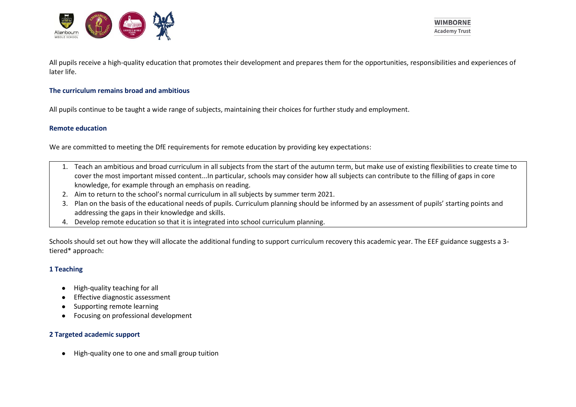

**WIMBORNE Academy Trust** 

All pupils receive a high-quality education that promotes their development and prepares them for the opportunities, responsibilities and experiences of later life.

#### **The curriculum remains broad and ambitious**

All pupils continue to be taught a wide range of subjects, maintaining their choices for further study and employment.

#### **Remote education**

We are committed to meeting the DfE requirements for remote education by providing key expectations:

- 1. Teach an ambitious and broad curriculum in all subjects from the start of the autumn term, but make use of existing flexibilities to create time to cover the most important missed content...In particular, schools may consider how all subjects can contribute to the filling of gaps in core knowledge, for example through an emphasis on reading.
- 2. Aim to return to the school's normal curriculum in all subjects by summer term 2021.
- 3. Plan on the basis of the educational needs of pupils. Curriculum planning should be informed by an assessment of pupils' starting points and addressing the gaps in their knowledge and skills.
- 4. Develop remote education so that it is integrated into school curriculum planning.

Schools should set out how they will allocate the additional funding to support curriculum recovery this academic year. The EEF guidance suggests a 3 tiered\* approach:

## **1 Teaching**

- High-quality teaching for all
- **Effective diagnostic assessment**
- Supporting remote learning
- Focusing on professional development

## **2 Targeted academic support**

● High-quality one to one and small group tuition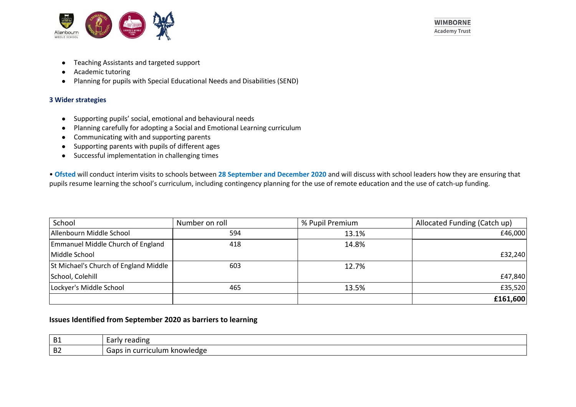

- Teaching Assistants and targeted support
- Academic tutoring
- Planning for pupils with Special Educational Needs and Disabilities (SEND)

## **3 Wider strategies**

- Supporting pupils' social, emotional and behavioural needs
- Planning carefully for adopting a Social and Emotional Learning curriculum
- Communicating with and supporting parents
- Supporting parents with pupils of different ages
- Successful implementation in challenging times

• **Ofsted** will conduct interim visits to schools between **28 September and December 2020** and will discuss with school leaders how they are ensuring that pupils resume learning the school's curriculum, including contingency planning for the use of remote education and the use of catch-up funding.

| School                                | Number on roll | % Pupil Premium | Allocated Funding (Catch up) |
|---------------------------------------|----------------|-----------------|------------------------------|
| Allenbourn Middle School              | 594            | 13.1%           | £46,000                      |
| Emmanuel Middle Church of England     | 418            | 14.8%           |                              |
| Middle School                         |                |                 | £32,240                      |
| St Michael's Church of England Middle | 603            | 12.7%           |                              |
| School, Colehill                      |                |                 | £47,840                      |
| Lockyer's Middle School               | 465            | 13.5%           | £35,520                      |
|                                       |                |                 | £161,600                     |

# **Issues Identified from September 2020 as barriers to learning**

| <b>B1</b>      | reading ?<br>nr.<br>– ⊿riv <i>r</i>              |
|----------------|--------------------------------------------------|
| B <sub>2</sub> | knowledge<br>nni<br>. iculum<br>cur<br>п.<br>. . |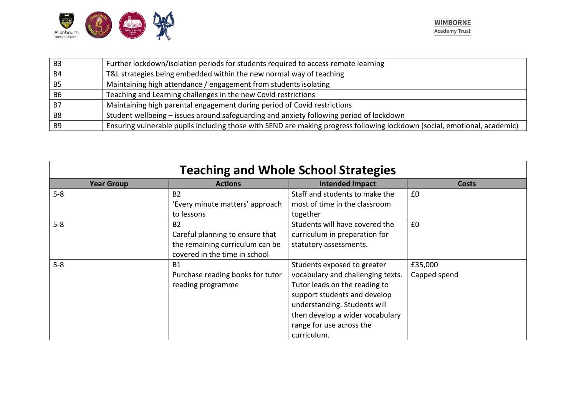

| B <sub>3</sub> | Further lockdown/isolation periods for students required to access remote learning                                        |
|----------------|---------------------------------------------------------------------------------------------------------------------------|
| B4             | T&L strategies being embedded within the new normal way of teaching                                                       |
| B5             | Maintaining high attendance / engagement from students isolating                                                          |
| <b>B6</b>      | Teaching and Learning challenges in the new Covid restrictions                                                            |
| - B7           | Maintaining high parental engagement during period of Covid restrictions                                                  |
| B <sub>8</sub> | Student wellbeing - issues around safeguarding and anxiety following period of lockdown                                   |
| B <sub>9</sub> | Ensuring vulnerable pupils including those with SEND are making progress following lockdown (social, emotional, academic) |

| <b>Teaching and Whole School Strategies</b> |                                  |                                   |              |
|---------------------------------------------|----------------------------------|-----------------------------------|--------------|
| <b>Year Group</b>                           | <b>Actions</b>                   | <b>Intended Impact</b>            | Costs        |
| $5 - 8$                                     | <b>B2</b>                        | Staff and students to make the    | £0           |
|                                             | 'Every minute matters' approach  | most of time in the classroom     |              |
|                                             | to lessons                       | together                          |              |
| $5 - 8$                                     | B <sub>2</sub>                   | Students will have covered the    | £0           |
|                                             | Careful planning to ensure that  | curriculum in preparation for     |              |
|                                             | the remaining curriculum can be  | statutory assessments.            |              |
|                                             | covered in the time in school    |                                   |              |
| $5 - 8$                                     | <b>B1</b>                        | Students exposed to greater       | £35,000      |
|                                             | Purchase reading books for tutor | vocabulary and challenging texts. | Capped spend |
|                                             | reading programme                | Tutor leads on the reading to     |              |
|                                             |                                  | support students and develop      |              |
|                                             |                                  | understanding. Students will      |              |
|                                             |                                  | then develop a wider vocabulary   |              |
|                                             |                                  | range for use across the          |              |
|                                             |                                  | curriculum.                       |              |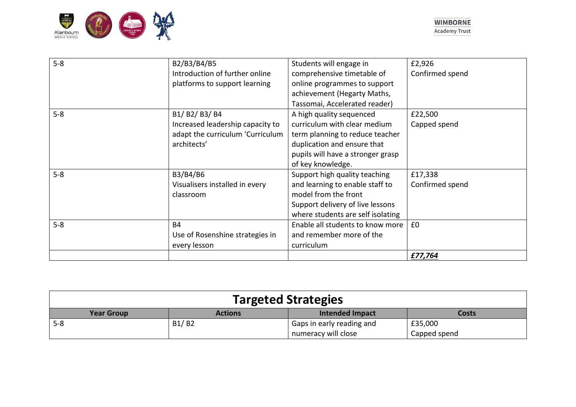

| $5 - 8$ | B2/B3/B4/B5                      | Students will engage in           | £2,926          |
|---------|----------------------------------|-----------------------------------|-----------------|
|         | Introduction of further online   | comprehensive timetable of        | Confirmed spend |
|         | platforms to support learning    | online programmes to support      |                 |
|         |                                  | achievement (Hegarty Maths,       |                 |
|         |                                  | Tassomai, Accelerated reader)     |                 |
| $5 - 8$ | B1/B2/B3/B4                      | A high quality sequenced          | £22,500         |
|         | Increased leadership capacity to | curriculum with clear medium      | Capped spend    |
|         | adapt the curriculum 'Curriculum | term planning to reduce teacher   |                 |
|         | architects'                      | duplication and ensure that       |                 |
|         |                                  | pupils will have a stronger grasp |                 |
|         |                                  | of key knowledge.                 |                 |
| $5 - 8$ | B3/B4/B6                         | Support high quality teaching     | £17,338         |
|         | Visualisers installed in every   | and learning to enable staff to   | Confirmed spend |
|         | classroom                        | model from the front              |                 |
|         |                                  | Support delivery of live lessons  |                 |
|         |                                  | where students are self isolating |                 |
| $5 - 8$ | <b>B4</b>                        | Enable all students to know more  | £0              |
|         | Use of Rosenshine strategies in  | and remember more of the          |                 |
|         | every lesson                     | curriculum                        |                 |
|         |                                  |                                   | £77,764         |

| <b>Targeted Strategies</b> |                |                           |              |
|----------------------------|----------------|---------------------------|--------------|
| <b>Year Group</b>          | <b>Actions</b> | <b>Intended Impact</b>    | Costs        |
| $5 - 8$                    | B1/B2          | Gaps in early reading and | £35,000      |
|                            |                | numeracy will close       | Capped spend |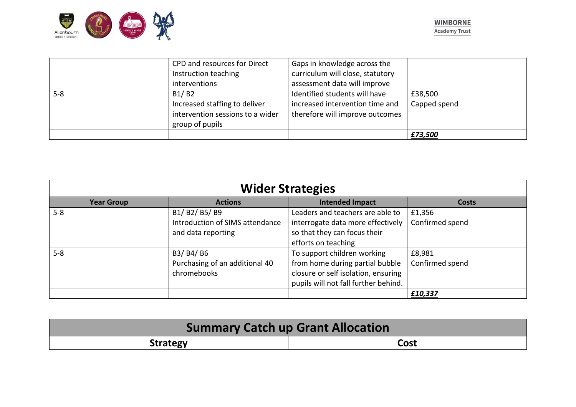

|         |                                  |                                  | £73,500      |
|---------|----------------------------------|----------------------------------|--------------|
|         | group of pupils                  |                                  |              |
|         | intervention sessions to a wider | therefore will improve outcomes  |              |
|         | Increased staffing to deliver    | increased intervention time and  | Capped spend |
| $5 - 8$ | B1/B2                            | Identified students will have    | £38,500      |
|         | interventions                    | assessment data will improve     |              |
|         | Instruction teaching             | curriculum will close, statutory |              |
|         | CPD and resources for Direct     | Gaps in knowledge across the     |              |

| <b>Wider Strategies</b> |                                 |                                      |                 |
|-------------------------|---------------------------------|--------------------------------------|-----------------|
| <b>Year Group</b>       | <b>Actions</b>                  | <b>Intended Impact</b>               | Costs           |
| $5 - 8$                 | B1/B2/B5/B9                     | Leaders and teachers are able to     | £1,356          |
|                         | Introduction of SIMS attendance | interrogate data more effectively    | Confirmed spend |
|                         | and data reporting              | so that they can focus their         |                 |
|                         |                                 | efforts on teaching                  |                 |
| $5 - 8$                 | B3/ B4/ B6                      | To support children working          | £8,981          |
|                         | Purchasing of an additional 40  | from home during partial bubble      | Confirmed spend |
|                         | chromebooks                     | closure or self isolation, ensuring  |                 |
|                         |                                 | pupils will not fall further behind. |                 |
|                         |                                 |                                      | £10,337         |

| <b>Summary Catch up Grant Allocation</b> |      |  |
|------------------------------------------|------|--|
| <b>Strategy</b>                          | Cost |  |